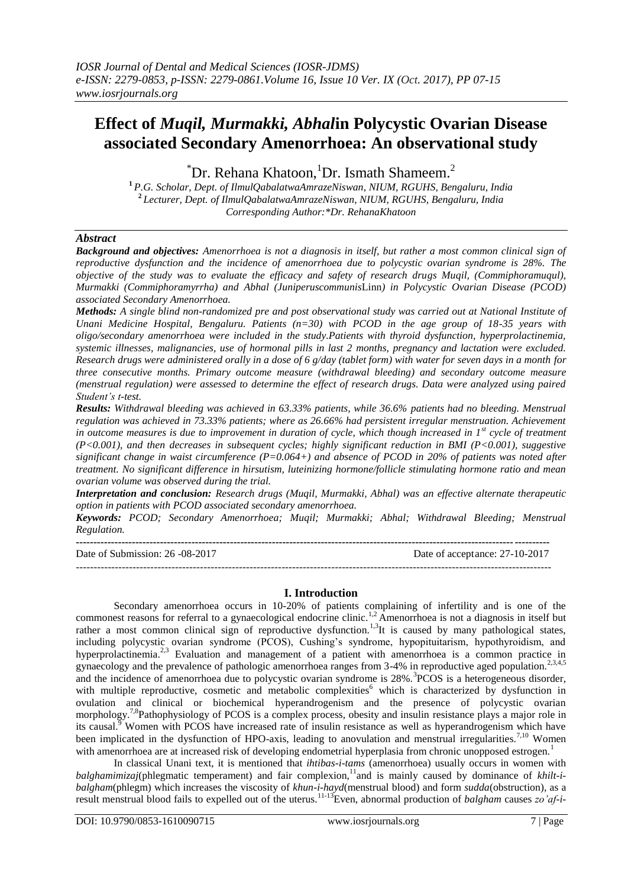# **Effect of** *Muqil, Murmakki, Abhal***in Polycystic Ovarian Disease associated Secondary Amenorrhoea: An observational study**

 ${}^{\ast}$ Dr. Rehana Khatoon, <sup>1</sup>Dr. Ismath Shameem.<sup>2</sup>

**<sup>1</sup>***P.G. Scholar, Dept. of IlmulQabalatwaAmrazeNiswan, NIUM, RGUHS, Bengaluru, India* **<sup>2</sup>***Lecturer, Dept. of IlmulQabalatwaAmrazeNiswan, NIUM, RGUHS, Bengaluru, India Corresponding Author:\*Dr. RehanaKhatoon*

# *Abstract*

*Background and objectives: Amenorrhoea is not a diagnosis in itself, but rather a most common clinical sign of reproductive dysfunction and the incidence of amenorrhoea due to polycystic ovarian syndrome is 28%. The objective of the study was to evaluate the efficacy and safety of research drugs Muqil, (Commiphoramuqul), Murmakki (Commiphoramyrrha) and Abhal (Juniperuscommunis*Linn*) in Polycystic Ovarian Disease (PCOD) associated Secondary Amenorrhoea.*

*Methods: A single blind non-randomized pre and post observational study was carried out at National Institute of Unani Medicine Hospital, Bengaluru. Patients (n=30) with PCOD in the age group of 18-35 years with oligo/secondary amenorrhoea were included in the study.Patients with thyroid dysfunction, hyperprolactinemia, systemic illnesses, malignancies, use of hormonal pills in last 2 months, pregnancy and lactation were excluded. Research drugs were administered orally in a dose of 6 g/day (tablet form) with water for seven days in a month for three consecutive months. Primary outcome measure (withdrawal bleeding) and secondary outcome measure (menstrual regulation) were assessed to determine the effect of research drugs. Data were analyzed using paired Student's t-test.*

*Results: Withdrawal bleeding was achieved in 63.33% patients, while 36.6% patients had no bleeding. Menstrual regulation was achieved in 73.33% patients; where as 26.66% had persistent irregular menstruation. Achievement in outcome measures is due to improvement in duration of cycle, which though increased in 1st cycle of treatment (P<0.001), and then decreases in subsequent cycles; highly significant reduction in BMI (P<0.001), suggestive significant change in waist circumference (P=0.064+) and absence of PCOD in 20% of patients was noted after treatment. No significant difference in hirsutism, luteinizing hormone/follicle stimulating hormone ratio and mean ovarian volume was observed during the trial.*

*Interpretation and conclusion: Research drugs (Muqil, Murmakki, Abhal) was an effective alternate therapeutic option in patients with PCOD associated secondary amenorrhoea.*

*Keywords: PCOD; Secondary Amenorrhoea; Muqil; Murmakki; Abhal; Withdrawal Bleeding; Menstrual Regulation.*

**---------------------------------------------------------------------------------------------------------------------------------------** Date of Submission: 26 -08-2017 Date of acceptance: 27-10-2017 --------------------------------------------------------------------------------------------------------------------------------------

# **I. Introduction**

Secondary amenorrhoea occurs in 10-20% of patients complaining of infertility and is one of the commonest reasons for referral to a gynaecological endocrine clinic.<sup>1,2</sup> Amenorrhoea is not a diagnosis in itself but rather a most common clinical sign of reproductive dysfunction.<sup>1,3</sup>It is caused by many pathological states, including polycystic ovarian syndrome (PCOS), Cushing's syndrome, hypopituitarism, hypothyroidism, and hyperprolactinemia.<sup>2,3</sup> Evaluation and management of a patient with amenorrhoea is a common practice in gynaecology and the prevalence of pathologic amenorrhoea ranges from 3-4% in reproductive aged population.<sup>2,3,4,5</sup> and the incidence of amenorrhoea due to polycystic ovarian syndrome is 28%.<sup>3</sup>PCOS is a heterogeneous disorder, with multiple reproductive, cosmetic and metabolic complexities<sup>6</sup> which is characterized by dysfunction in ovulation and clinical or biochemical hyperandrogenism and the presence of polycystic ovarian morphology.<sup>7,8</sup>Pathophysiology of PCOS is a complex process, obesity and insulin resistance plays a major role in its causal.<sup>9</sup> Women with PCOS have increased rate of insulin resistance as well as hyperandrogenism which have been implicated in the dysfunction of HPO-axis, leading to anovulation and menstrual irregularities.<sup>7,10</sup> Women with amenorrhoea are at increased risk of developing endometrial hyperplasia from chronic unopposed estrogen.<sup>1</sup>

In classical Unani text, it is mentioned that *ihtibas-i-tams* (amenorrhoea) usually occurs in women with *balghamimizaj*(phlegmatic temperament) and fair complexion,<sup>11</sup> and is mainly caused by dominance of *khilt-ibalgham*(phlegm) which increases the viscosity of *khun-i-hayd*(menstrual blood) and form *sudda*(obstruction), as a result menstrual blood fails to expelled out of the uterus.11-13Even, abnormal production of *balgham* causes *zo'af-i-*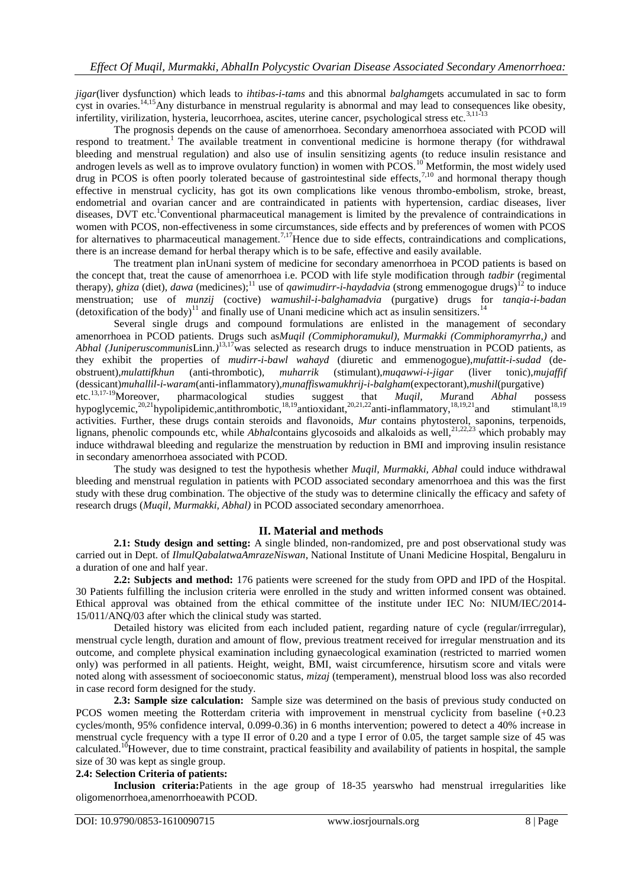*jigar*(liver dysfunction) which leads to *ihtibas-i-tams* and this abnormal *balgham*gets accumulated in sac to form cyst in ovaries.<sup>14,15</sup>Any disturbance in menstrual regularity is abnormal and may lead to consequences like obesity, infertility, virilization, hysteria, leucorrhoea, ascites, uterine cancer, psychological stress etc.<sup>3,11-13</sup>

The prognosis depends on the cause of amenorrhoea. Secondary amenorrhoea associated with PCOD will respond to treatment.<sup>1</sup> The available treatment in conventional medicine is hormone therapy (for withdrawal bleeding and menstrual regulation) and also use of insulin sensitizing agents (to reduce insulin resistance and androgen levels as well as to improve ovulatory function) in women with  $PCOS$ .<sup>10</sup> Metformin, the most widely used drug in PCOS is often poorly tolerated because of gastrointestinal side effects,<sup>7,10</sup> and hormonal therapy though effective in menstrual cyclicity, has got its own complications like venous thrombo-embolism, stroke, breast, endometrial and ovarian cancer and are contraindicated in patients with hypertension, cardiac diseases, liver diseases, DVT etc.<sup>1</sup>Conventional pharmaceutical management is limited by the prevalence of contraindications in women with PCOS, non-effectiveness in some circumstances, side effects and by preferences of women with PCOS for alternatives to pharmaceutical management.<sup>7,17</sup>Hence due to side effects, contraindications and complications, there is an increase demand for herbal therapy which is to be safe, effective and easily available.

The treatment plan inUnani system of medicine for secondary amenorrhoea in PCOD patients is based on the concept that, treat the cause of amenorrhoea i.e. PCOD with life style modification through *tadbir* (regimental therapy), *ghiza* (diet), *dawa* (medicines);<sup>11</sup> use of *qawimudirr-i-haydadvia* (strong emmenogogue drugs)<sup>12</sup> to induce menstruation; use of *munzij* (coctive) *wamushil-i-balghamadvia* (purgative) drugs for *tanqia-i-badan* (detoxification of the body)<sup>11</sup> and finally use of Unani medicine which act as insulin sensitizers.<sup>14</sup>

Several single drugs and compound formulations are enlisted in the management of secondary amenorrhoea in PCOD patients. Drugs such as*Muqil (Commiphoramukul), Murmakki (Commiphoramyrrha,)* and Abhal (JuniperuscommunisLinn.)<sup>13,17</sup>was selected as research drugs to induce menstruation in PCOD patients, as they exhibit the properties of *mudirr-i-bawl wahayd* (diuretic and emmenogogue),*mufattit-i-sudad* (deobstruent),*mulattifkhun* (anti-thrombotic)*, muharrik* (stimulant),*muqawwi-i-jigar* (liver tonic),*mujaffif* (dessicant)*muhallil-i-waram*(anti-inflammatory)*,munaffiswamukhrij-i-balgham*(expectorant),*mushil*(purgative) etc.13,17-19Moreover, pharmacological studies suggest that *Muqil, Mur*and *Abhal* possess hypoglycemic,<sup>20,21</sup>hypolipidemic,antithrombotic,<sup>18,19</sup>antioxidant,<sup>20,21,22</sup>anti-inflammatory,<sup>18,19,21</sup>and stimulant<sup>18,19</sup> activities. Further, these drugs contain steroids and flavonoids, *Mur* contains phytosterol, saponins, terpenoids, lignans, phenolic compounds etc, while *Abhalcontains glycosoids and alkaloids as well*,<sup>21,22,23</sup> which probably may induce withdrawal bleeding and regularize the menstruation by reduction in BMI and improving insulin resistance in secondary amenorrhoea associated with PCOD.

The study was designed to test the hypothesis whether *Muqil, Murmakki, Abhal* could induce withdrawal bleeding and menstrual regulation in patients with PCOD associated secondary amenorrhoea and this was the first study with these drug combination. The objective of the study was to determine clinically the efficacy and safety of research drugs (*Muqil, Murmakki, Abhal)* in PCOD associated secondary amenorrhoea.

# **II. Material and methods**

**2.1: Study design and setting:** A single blinded, non-randomized, pre and post observational study was carried out in Dept. of *IlmulQabalatwaAmrazeNiswan*, National Institute of Unani Medicine Hospital, Bengaluru in a duration of one and half year.

**2.2: Subjects and method:** 176 patients were screened for the study from OPD and IPD of the Hospital. 30 Patients fulfilling the inclusion criteria were enrolled in the study and written informed consent was obtained. Ethical approval was obtained from the ethical committee of the institute under IEC No: NIUM/IEC/2014- 15/011/ANQ/03 after which the clinical study was started.

Detailed history was elicited from each included patient, regarding nature of cycle (regular/irrregular), menstrual cycle length, duration and amount of flow, previous treatment received for irregular menstruation and its outcome, and complete physical examination including gynaecological examination (restricted to married women only) was performed in all patients. Height, weight, BMI, waist circumference, hirsutism score and vitals were noted along with assessment of socioeconomic status, *mizaj* (temperament), menstrual blood loss was also recorded in case record form designed for the study.

**2.3: Sample size calculation:** Sample size was determined on the basis of previous study conducted on PCOS women meeting the Rotterdam criteria with improvement in menstrual cyclicity from baseline (+0.23 cycles/month, 95% confidence interval, 0.099-0.36) in 6 months intervention; powered to detect a 40% increase in menstrual cycle frequency with a type II error of 0.20 and a type I error of 0.05, the target sample size of 45 was calculated.<sup>10</sup>However, due to time constraint, practical feasibility and availability of patients in hospital, the sample size of 30 was kept as single group.

## **2.4: Selection Criteria of patients:**

**Inclusion criteria:**Patients in the age group of 18-35 yearswho had menstrual irregularities like oligomenorrhoea,amenorrhoeawith PCOD.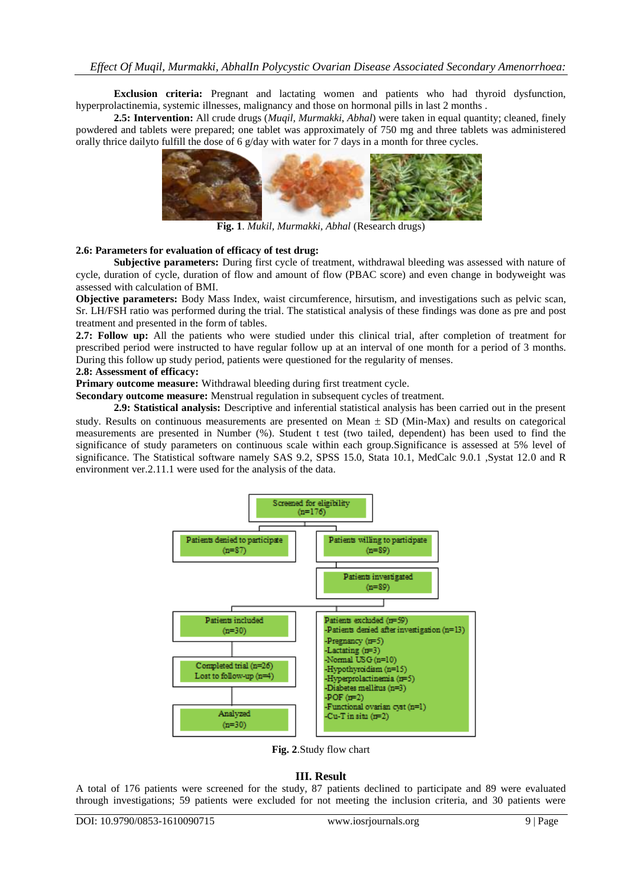**Exclusion criteria:** Pregnant and lactating women and patients who had thyroid dysfunction, hyperprolactinemia, systemic illnesses, malignancy and those on hormonal pills in last 2 months .

**2.5: Intervention:** All crude drugs (*Muqil, Murmakki*, *Abhal*) were taken in equal quantity; cleaned, finely powdered and tablets were prepared; one tablet was approximately of 750 mg and three tablets was administered orally thrice dailyto fulfill the dose of 6 g/day with water for 7 days in a month for three cycles.



**Fig. 1**. *Mukil, Murmakki, Abhal* (Research drugs)

# **2.6: Parameters for evaluation of efficacy of test drug:**

**Subjective parameters:** During first cycle of treatment, withdrawal bleeding was assessed with nature of cycle, duration of cycle, duration of flow and amount of flow (PBAC score) and even change in bodyweight was assessed with calculation of BMI.

**Objective parameters:** Body Mass Index, waist circumference, hirsutism, and investigations such as pelvic scan, Sr. LH/FSH ratio was performed during the trial. The statistical analysis of these findings was done as pre and post treatment and presented in the form of tables.

**2.7: Follow up:** All the patients who were studied under this clinical trial, after completion of treatment for prescribed period were instructed to have regular follow up at an interval of one month for a period of 3 months. During this follow up study period, patients were questioned for the regularity of menses.

### **2.8: Assessment of efficacy:**

**Primary outcome measure:** Withdrawal bleeding during first treatment cycle.

**Secondary outcome measure:** Menstrual regulation in subsequent cycles of treatment.

**2.9: Statistical analysis:** Descriptive and inferential statistical analysis has been carried out in the present study. Results on continuous measurements are presented on Mean  $\pm$  SD (Min-Max) and results on categorical measurements are presented in Number (%). Student t test (two tailed, dependent) has been used to find the significance of study parameters on continuous scale within each group.Significance is assessed at 5% level of significance. The Statistical software namely SAS 9.2, SPSS 15.0, Stata 10.1, MedCalc 9.0.1 ,Systat 12.0 and R environment ver.2.11.1 were used for the analysis of the data.



**Fig. 2**.Study flow chart

# **III. Result**

A total of 176 patients were screened for the study, 87 patients declined to participate and 89 were evaluated through investigations; 59 patients were excluded for not meeting the inclusion criteria, and 30 patients were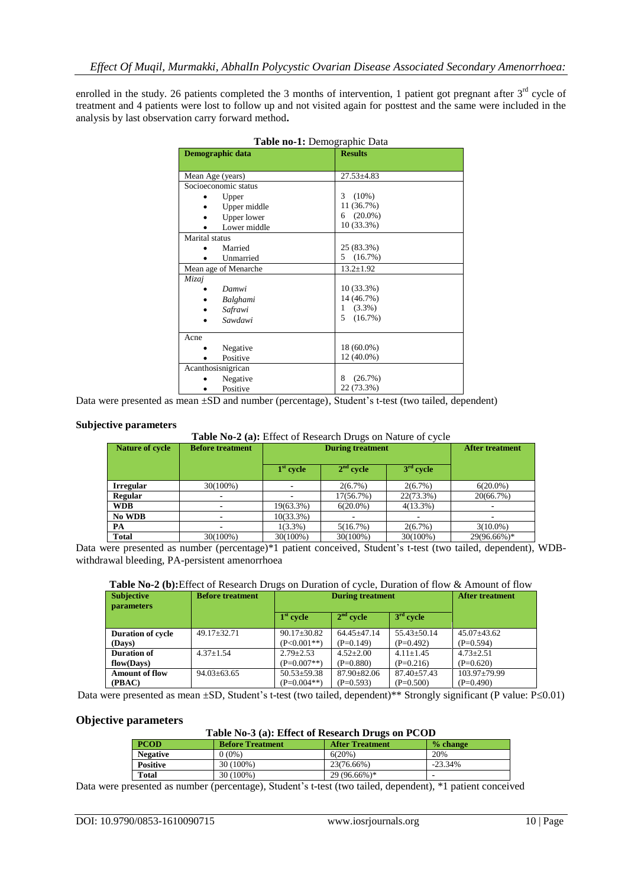enrolled in the study. 26 patients completed the 3 months of intervention, 1 patient got pregnant after  $3<sup>rd</sup>$  cycle of treatment and 4 patients were lost to follow up and not visited again for posttest and the same were included in the analysis by last observation carry forward method**.** 

| Demographic data     | <b>Results</b>   |
|----------------------|------------------|
|                      |                  |
| Mean Age (years)     | $27.53 \pm 4.83$ |
| Socioeconomic status |                  |
| Upper                | 3<br>$(10\%)$    |
| Upper middle         | 11 (36.7%)       |
| Upper lower          | $(20.0\%)$<br>6  |
| Lower middle         | 10 (33.3%)       |
| Marital status       |                  |
| Married              | 25 (83.3%)       |
| Unmarried            | (16.7%)<br>5.    |
| Mean age of Menarche | $13.2 \pm 1.92$  |
| Mizaj                |                  |
| Damwi                | 10 (33.3%)       |
| Balghami             | 14 (46.7%)       |
| Safrawi              | $(3.3\%)$<br>1   |
| Sawdawi              | 5<br>(16.7%)     |
| Acne                 |                  |
| Negative             | 18 (60.0%)       |
| Positive             | 12 (40.0%)       |
| Acanthosisnigrican   |                  |
| Negative             | 8<br>(26.7%)     |
| Positive             | 22 (73.3%)       |

|  |  | Table no-1: Demographic Data |  |
|--|--|------------------------------|--|
|--|--|------------------------------|--|

Data were presented as mean ±SD and number (percentage), Student's t-test (two tailed, dependent)

#### **Subjective parameters**

**Table No-2 (a):** Effect of Research Drugs on Nature of cycle

| <b>Nature of cycle</b> | <b>Before treatment</b> | <b>During treatment</b> |             |             | <b>After treatment</b> |
|------------------------|-------------------------|-------------------------|-------------|-------------|------------------------|
|                        |                         | $1st$ cycle             | $2nd$ cycle | $3rd$ cycle |                        |
| <b>Irregular</b>       | 30(100%)                |                         | $2(6.7\%)$  | $2(6.7\%)$  | $6(20.0\%)$            |
| Regular                |                         |                         | 17(56.7%)   | 22(73.3%)   | 20(66.7%)              |
| <b>WDB</b>             |                         | 19(63.3%)               | $6(20.0\%)$ | $4(13.3\%)$ |                        |
| No WDB                 |                         | 10(33.3%)               |             |             |                        |
| РA                     |                         | $1(3.3\%)$              | 5(16.7%)    | $2(6.7\%)$  | $3(10.0\%)$            |
| <b>Total</b>           | 30(100%)                | 30(100%)                | 30(100%)    | 30(100%)    | 29(96.66%)*            |

Data were presented as number (percentage)\*1 patient conceived, Student's t-test (two tailed, dependent), WDBwithdrawal bleeding, PA-persistent amenorrhoea

## **Table No-2 (b):**Effect of Research Drugs on Duration of cycle, Duration of flow & Amount of flow

| <b>Subjective</b><br>parameters | . .<br><b>Before treatment</b> | <b>During treatment</b> |                   |                   | <b>After treatment</b> |
|---------------------------------|--------------------------------|-------------------------|-------------------|-------------------|------------------------|
|                                 |                                | $1st$ cycle             | $2nd$ cycle       | $3rd$ cycle       |                        |
| <b>Duration of cycle</b>        | $49.17 \pm 32.71$              | $90.17 \pm 30.82$       | $64.45 + 47.14$   | $55.43 \pm 50.14$ | $45.07 \pm 43.62$      |
| (Days)                          |                                | $(P<0.001**)$           | $(P=0.149)$       | $(P=0.492)$       | $(P=0.594)$            |
| <b>Duration of</b>              | $4.37 \pm 1.54$                | $2.79 + 2.53$           | $4.52 + 2.00$     | $4.11+1.45$       | $4.73 + 2.51$          |
| flow(Days)                      |                                | $(P=0.007**)$           | $(P=0.880)$       | $(P=0.216)$       | $(P=0.620)$            |
| <b>Amount of flow</b>           | $94.03 \pm 63.65$              | $50.53 \pm 59.38$       | $87.90 \pm 82.06$ | $87.40 \pm 57.43$ | $103.97 \pm 79.99$     |
| (PBAC)                          |                                | $(P=0.004**)$           | $(P=0.593)$       | $(P=0.500)$       | $(P=0.490)$            |

Data were presented as mean  $\pm SD$ , Student's t-test (two tailed, dependent)\*\* Strongly significant (P value: P $\leq 0.01$ )

#### **Objective parameters**

#### **Table No-3 (a): Effect of Research Drugs on PCOD**

| <b>PCOD</b>     | <b>Before Treatment</b> | <b>After Treatment</b> | $%$ change |
|-----------------|-------------------------|------------------------|------------|
| <b>Negative</b> | $0(0\%)$                | 6(20%)                 | 20%        |
| <b>Positive</b> | 30 (100%)               | 23(76.66%)             | $-23.34%$  |
| <b>Total</b>    | 30 (100%)               | 29 (96.66%)*           |            |

Data were presented as number (percentage), Student's t-test (two tailed, dependent), \*1 patient conceived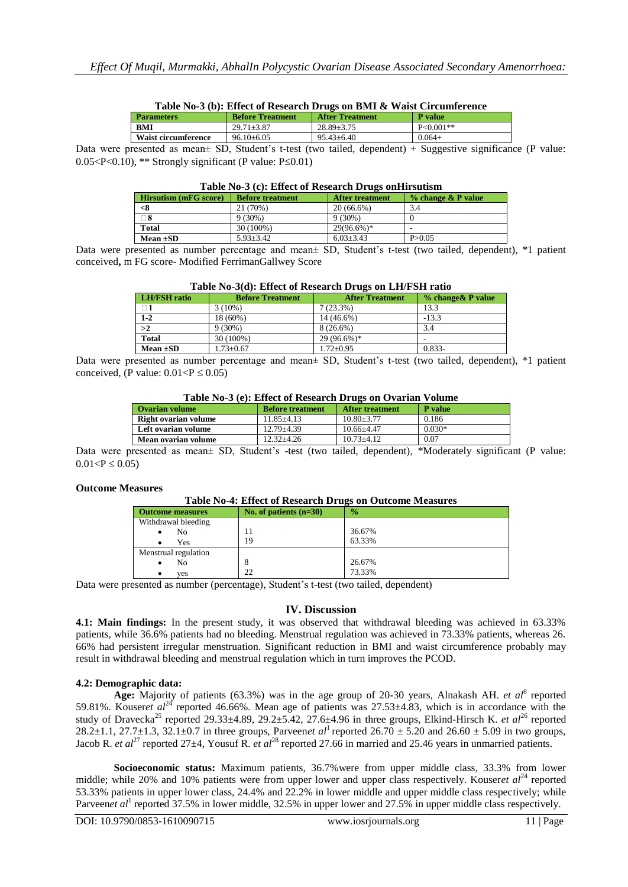| Table No-3 (b): Effect of Research Drugs on BMT & Waist Circumference |                         |                        |               |  |
|-----------------------------------------------------------------------|-------------------------|------------------------|---------------|--|
| <b>Parameters</b>                                                     | <b>Before Treatment</b> | <b>After Treatment</b> | P value       |  |
| <b>BMI</b>                                                            | $29.71 + 3.87$          | $28.89 + 3.75$         | $P < 0.001**$ |  |
| <b>Waist circumference</b>                                            | $96.10\pm 6.05$         | $95.43 \pm 6.40$       | $0.064+$      |  |

Data were presented as mean± SD, Student's t-test (two tailed, dependent) + Suggestive significance (P value:  $0.05 < P < 0.10$ ), \*\* Strongly significant (P value: P $\leq 0.01$ )

# **Table No-3 (c): Effect of Research Drugs onHirsutism**

| <b>Hirsutism (mFG score)</b> | <b>Before treatment</b> | <b>After treatment</b> | $\%$ change $\&$ P value |
|------------------------------|-------------------------|------------------------|--------------------------|
|                              | 21 (70%)                | $20(66.6\%)$           | 3.4                      |
| $\Box$ 8                     | $9(30\%)$               | $9(30\%)$              |                          |
| <b>Total</b>                 | 30 (100%)               | $29(96.6\%)*$          |                          |
| Mean $\pm SD$                | $5.93 + 3.42$           | $6.03 + 3.43$          | P > 0.05                 |

Data were presented as number percentage and mean± SD, Student's t-test (two tailed, dependent), \*1 patient conceived**,** m FG score- Modified FerrimanGallwey Score

| <b>LH/FSH</b> ratio | <b>Before Treatment</b> | <b>After Treatment</b> | % change & P value |
|---------------------|-------------------------|------------------------|--------------------|
|                     | $3(10\%)$               | $7(23.3\%)$            | 13.3               |
| $1 - 2$             | 18 (60%)                | 14 (46.6%)             | $-13.3$            |
| >2                  | $9(30\%)$               | $8(26.6\%)$            | 3.4                |
| <b>Total</b>        | 30 (100%)               | $29(96.6\%)*$          |                    |
| Mean $\pm SD$       | $1.73 \pm 0.67$         | $1.72 + 0.95$          | $0.833 -$          |

Data were presented as number percentage and mean± SD, Student's t-test (two tailed, dependent), \*1 patient conceived, (P value:  $0.01 < P \le 0.05$ )

## **Table No-3 (e): Effect of Research Drugs on Ovarian Volume**

| <b>Ovarian volume</b> | <b>Before treatment</b> | <b>After treatment</b> | <b>P</b> value |
|-----------------------|-------------------------|------------------------|----------------|
| Right ovarian volume  | $11.85 + 4.13$          | $10.80 + 3.77$         | 0.186          |
| Left ovarian volume   | $12.79 + 4.39$          | $10.66 + 4.47$         | $0.030*$       |
| Mean ovarian volume   | $12.32 + 4.26$          | $10.73 + 4.12$         | 0.07           |

Data were presented as mean± SD, Student's -test (two tailed, dependent), \*Moderately significant (P value:  $0.01 < P \leq 0.05$ )

#### **Outcome Measures**

#### **Table No-4: Effect of Research Drugs on Outcome Measures**

| <b>Outcome measures</b> | No. of patients $(n=30)$ | $\frac{0}{2}$ |
|-------------------------|--------------------------|---------------|
| Withdrawal bleeding     |                          |               |
| N <sub>0</sub><br>٠     | 11                       | 36.67%        |
| Yes                     | 19                       | 63.33%        |
| Menstrual regulation    |                          |               |
| No                      | O                        | 26.67%        |
| ves                     | 22                       | 73.33%        |

Data were presented as number (percentage), Student's t-test (two tailed, dependent)

#### **IV. Discussion**

**4.1: Main findings:** In the present study, it was observed that withdrawal bleeding was achieved in 63.33% patients, while 36.6% patients had no bleeding. Menstrual regulation was achieved in 73.33% patients, whereas 26. 66% had persistent irregular menstruation. Significant reduction in BMI and waist circumference probably may result in withdrawal bleeding and menstrual regulation which in turn improves the PCOD.

#### **4.2: Demographic data:**

Age: Majority of patients (63.3%) was in the age group of 20-30 years, Alnakash AH. *et al*<sup>8</sup> reported 59.81%. Kouseret al<sup>24</sup> reported 46.66%. Mean age of patients was 27.53±4.83, which is in accordance with the study of Dravecka<sup>25</sup> reported 29.33±4.89, 29.2±5.42, 27.6±4.96 in three groups, Elkind-Hirsch K. *et al*<sup>26</sup> reported 28.2±1.1, 27.7±1.3, 32.1±0.7 in three groups, Parveen*et al*<sup>1</sup> reported 26.70  $\pm$  5.20 and 26.60  $\pm$  5.09 in two groups, Jacob R. *et al*<sup>27</sup> reported 27±4, Yousuf R. *et al*<sup>28</sup> reported 27.66 in married and 25.46 years in unmarried patients.

**Socioeconomic status:** Maximum patients, 36.7%were from upper middle class, 33.3% from lower middle; while 20% and 10% patients were from upper lower and upper class respectively. Kouseret al<sup>24</sup> reported 53.33% patients in upper lower class, 24.4% and 22.2% in lower middle and upper middle class respectively; while Parveenet al<sup>1</sup> reported 37.5% in lower middle, 32.5% in upper lower and 27.5% in upper middle class respectively.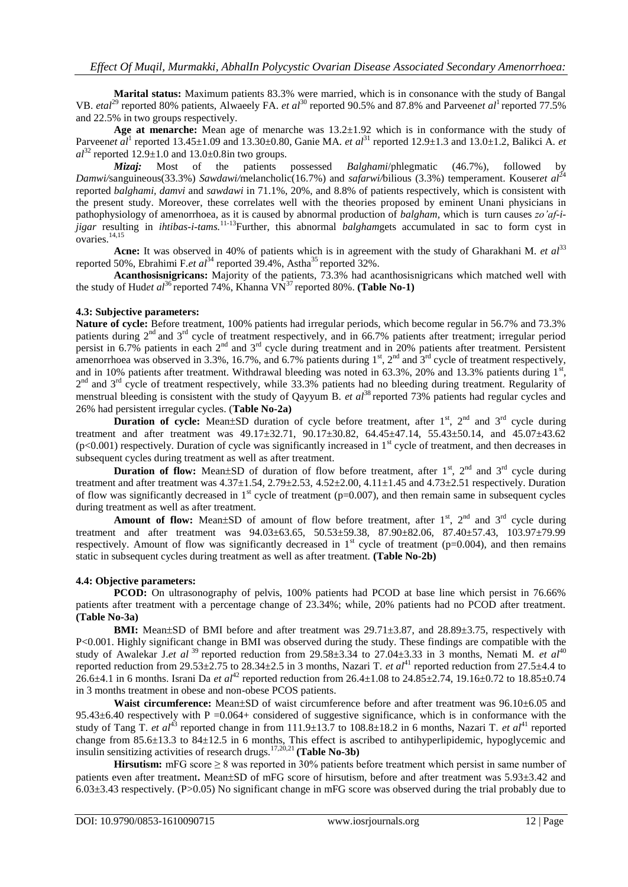**Marital status:** Maximum patients 83.3% were married, which is in consonance with the study of Bangal VB. *etal*<sup>29</sup> reported 80% patients, Alwaeely FA. *et al*<sup>30</sup> reported 90.5% and 87.8% and Parveen*et al*<sup>1</sup> reported 77.5% and 22.5% in two groups respectively.

**Age at menarche:** Mean age of menarche was 13.2±1.92 which is in conformance with the study of Parveen*et al*<sup>1</sup> reported 13.45±1.09 and 13.30±0.80, Ganie MA. *et al*<sup>31</sup> reported 12.9±1.3 and 13.0±1.2, Balikci A. *et*  $al^{32}$  reported 12.9 $\pm$ 1.0 and 13.0 $\pm$ 0.8in two groups.

*Mizaj:* Most of the patients possessed *Balghami*/phlegmatic (46.7%), followed by *Damwi/sanguineous(33.3%) Sawdawi/melancholic(16.7%) and <i>safarwi/bilious (3.3%) temperament. Kouseret al*<sup>24</sup> reported *balghami, damvi* and *sawdawi* in 71.1%, 20%, and 8.8% of patients respectively, which is consistent with the present study. Moreover, these correlates well with the theories proposed by eminent Unani physicians in pathophysiology of amenorrhoea, as it is caused by abnormal production of *balgham,* which is turn causes *zo'af-ijigar* resulting in *ihtibas-i-tams.*<sup>11-13</sup>Further, this abnormal *balghamgets* accumulated in sac to form cyst in  $overies.$ <sup>14,15</sup>

Acne: It was observed in 40% of patients which is in agreement with the study of Gharakhani M. *et al*<sup>33</sup> reported 50%, Ebrahimi F.*et al*<sup>34</sup> reported 39.4%, Astha<sup>35</sup> reported 32%.

**Acanthosisnigricans:** Majority of the patients, 73.3% had acanthosisnigricans which matched well with the study of Hud*et al*<sup>36</sup> reported 74%, Khanna VN<sup>37</sup> reported 80%. **(Table No-1)** 

#### **4.3: Subjective parameters:**

**Nature of cycle:** Before treatment, 100% patients had irregular periods, which become regular in 56.7% and 73.3% patients during 2<sup>nd</sup> and 3<sup>rd</sup> cycle of treatment respectively, and in 66.7% patients after treatment; irregular period persist in 6.7% patients in each  $2^{nd}$  and  $3^{rd}$  cycle during treatment and in 20% patients after treatment. Persistent amenorrhoea was observed in 3.3%, 16.7%, and 6.7% patients during  $1<sup>st</sup>$ ,  $2<sup>nd</sup>$  and  $3<sup>rd</sup>$  cycle of treatment respectively, and in 10% patients after treatment. Withdrawal bleeding was noted in  $63.3\%$ , 20% and 13.3% patients during 1<sup>st</sup> ,  $2<sup>nd</sup>$  and  $3<sup>rd</sup>$  cycle of treatment respectively, while 33.3% patients had no bleeding during treatment. Regularity of menstrual bleeding is consistent with the study of Qayyum B. *et al*<sup>38</sup> reported 73% patients had regular cycles and 26% had persistent irregular cycles. (**Table No-2a)**

**Duration of cycle:** Mean $\pm$ SD duration of cycle before treatment, after  $1<sup>st</sup>$ ,  $2<sup>nd</sup>$  and  $3<sup>rd</sup>$  cycle during treatment and after treatment was 49.17 $\pm$ 32.71, 90.17 $\pm$ 30.82, 64.45 $\pm$ 47.14, 55.43 $\pm$ 50.14, and 45.07 $\pm$ 43.62  $(p<0.001)$  respectively. Duration of cycle was significantly increased in 1<sup>st</sup> cycle of treatment, and then decreases in subsequent cycles during treatment as well as after treatment.

**Duration of flow:** Mean $\pm$ SD of duration of flow before treatment, after  $1<sup>st</sup>$ ,  $2<sup>nd</sup>$  and  $3<sup>rd</sup>$  cycle during treatment and after treatment was  $4.37\pm1.54$ ,  $2.79\pm2.53$ ,  $4.52\pm2.00$ ,  $4.11\pm1.45$  and  $4.73\pm2.51$  respectively. Duration of flow was significantly decreased in  $1<sup>st</sup>$  cycle of treatment (p=0.007), and then remain same in subsequent cycles during treatment as well as after treatment.

Amount of flow: Mean±SD of amount of flow before treatment, after 1<sup>st</sup>, 2<sup>nd</sup> and 3<sup>rd</sup> cycle during treatment and after treatment was  $94.03\pm63.65$ ,  $50.53\pm59.38$ ,  $87.90\pm82.06$ ,  $87.40\pm57.43$ ,  $103.97\pm79.99$ respectively. Amount of flow was significantly decreased in  $1<sup>st</sup>$  cycle of treatment (p=0.004), and then remains static in subsequent cycles during treatment as well as after treatment. **(Table No-2b)**

# **4.4: Objective parameters:**

PCOD: On ultrasonography of pelvis, 100% patients had PCOD at base line which persist in 76.66% patients after treatment with a percentage change of 23.34%; while, 20% patients had no PCOD after treatment. **(Table No-3a)**

**BMI:** Mean $\pm$ SD of BMI before and after treatment was  $29.71\pm3.87$ , and  $28.89\pm3.75$ , respectively with P<0.001. Highly significant change in BMI was observed during the study. These findings are compatible with the study of Awalekar J.*et al* <sup>39</sup> reported reduction from 29.58±3.34 to 27.04±3.33 in 3 months, Nemati M. *et al*<sup>40</sup> reported reduction from 29.53±2.75 to 28.34±2.5 in 3 months, Nazari T. *et al*<sup>41</sup> reported reduction from 27.5±4.4 to 26.6±4.1 in 6 months. Israni Da *et al*<sup>42</sup> reported reduction from 26.4±1.08 to 24.85±2.74, 19.16±0.72 to 18.85±0.74 in 3 months treatment in obese and non-obese PCOS patients.

**Waist circumference:** Mean±SD of waist circumference before and after treatment was 96.10±6.05 and  $95.43\pm6.40$  respectively with P = 0.064+ considered of suggestive significance, which is in conformance with the study of Tang T. *et al*<sup>43</sup> reported change in from  $111.9\pm13.7$  to  $108.8\pm18.2$  in 6 months, Nazari T. *et al*<sup>41</sup> reported change from 85.6±13.3 to 84±12.5 in 6 months, This effect is ascribed to antihyperlipidemic, hypoglycemic and insulin sensitizing activities of research drugs.<sup>17,20,21</sup> (Table No-3b)

**Hirsutism:** mFG score ≥ 8 was reported in 30% patients before treatment which persist in same number of patients even after treatment. Mean $\pm$ SD of mFG score of hirsutism, before and after treatment was 5.93 $\pm$ 3.42 and 6.03±3.43 respectively. (P>0.05) No significant change in mFG score was observed during the trial probably due to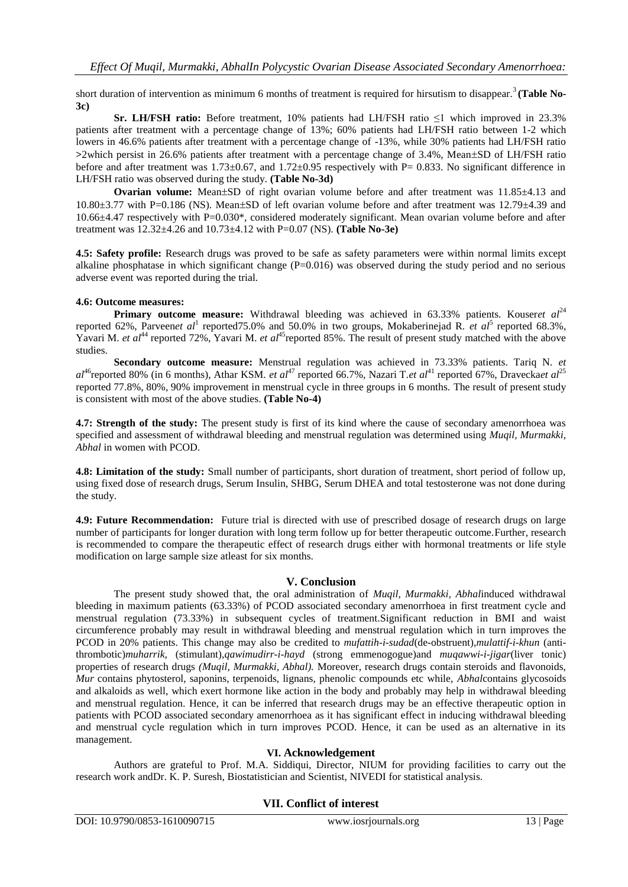short duration of intervention as minimum 6 months of treatment is required for hirsutism to disappear.<sup>3</sup> (Table No-**3c)**

**Sr. LH/FSH ratio:** Before treatment, 10% patients had LH/FSH ratio ≤1 which improved in 23.3% patients after treatment with a percentage change of 13%; 60% patients had LH/FSH ratio between 1-2 which lowers in 46.6% patients after treatment with a percentage change of -13%, while 30% patients had LH/FSH ratio >2which persist in 26.6% patients after treatment with a percentage change of 3.4%, Mean±SD of LH/FSH ratio before and after treatment was 1.73±0.67, and 1.72±0.95 respectively with P= 0.833. No significant difference in LH/FSH ratio was observed during the study. **(Table No-3d)**

**Ovarian volume:** Mean $\pm$ SD of right ovarian volume before and after treatment was 11.85 $\pm$ 4.13 and  $10.80\pm3.77$  with P=0.186 (NS). Mean $\pm$ SD of left ovarian volume before and after treatment was 12.79 $\pm$ 4.39 and 10.66±4.47 respectively with P=0.030\*, considered moderately significant. Mean ovarian volume before and after treatment was 12.32±4.26 and 10.73±4.12 with P=0.07 (NS). **(Table No-3e)**

**4.5: Safety profile:** Research drugs was proved to be safe as safety parameters were within normal limits except alkaline phosphatase in which significant change  $(P=0.016)$  was observed during the study period and no serious adverse event was reported during the trial.

#### **4.6: Outcome measures:**

**Primary outcome measure:** Withdrawal bleeding was achieved in 63.33% patients. Kouseret  $al^{24}$ reported 62%, Parveen*et al*<sup>1</sup> reported75.0% and 50.0% in two groups, Mokaberinejad R. *et al*<sup>5</sup> reported 68.3%, Yavari M. *et al*<sup>44</sup> reported 72%, Yavari M. *et al*<sup>45</sup>reported 85%. The result of present study matched with the above studies.

**Secondary outcome measure:** Menstrual regulation was achieved in 73.33% patients. Tariq N. *et*   $aI^{46}$ reported 80% (in 6 months), Athar KSM. *et al*<sup>47</sup> reported 66.7%, Nazari T.*et al*<sup>41</sup> reported 67%, Dravecka*et al*<sup>25</sup> reported 77.8%, 80%, 90% improvement in menstrual cycle in three groups in 6 months. The result of present study is consistent with most of the above studies. **(Table No-4)**

**4.7: Strength of the study:** The present study is first of its kind where the cause of secondary amenorrhoea was specified and assessment of withdrawal bleeding and menstrual regulation was determined using *Muqil, Murmakki, Abhal* in women with PCOD.

**4.8: Limitation of the study:** Small number of participants, short duration of treatment, short period of follow up, using fixed dose of research drugs, Serum Insulin, SHBG, Serum DHEA and total testosterone was not done during the study.

**4.9: Future Recommendation:** Future trial is directed with use of prescribed dosage of research drugs on large number of participants for longer duration with long term follow up for better therapeutic outcome.Further, research is recommended to compare the therapeutic effect of research drugs either with hormonal treatments or life style modification on large sample size atleast for six months.

# **V. Conclusion**

The present study showed that, the oral administration of *Muqil, Murmakki, Abhal*induced withdrawal bleeding in maximum patients (63.33%) of PCOD associated secondary amenorrhoea in first treatment cycle and menstrual regulation (73.33%) in subsequent cycles of treatment.Significant reduction in BMI and waist circumference probably may result in withdrawal bleeding and menstrual regulation which in turn improves the PCOD in 20% patients. This change may also be credited to *mufattih-i-sudad*(de-obstruent),*mulattif-i-khun* (antithrombotic)*muharrik,* (stimulant),*qawimudirr-i-hayd* (strong emmenogogue)and *muqawwi-i-jigar*(liver tonic) properties of research drugs *(Muqil, Murmakki, Abhal).* Moreover, research drugs contain steroids and flavonoids, *Mur* contains phytosterol, saponins, terpenoids, lignans, phenolic compounds etc while, *Abhal*contains glycosoids and alkaloids as well, which exert hormone like action in the body and probably may help in withdrawal bleeding and menstrual regulation. Hence, it can be inferred that research drugs may be an effective therapeutic option in patients with PCOD associated secondary amenorrhoea as it has significant effect in inducing withdrawal bleeding and menstrual cycle regulation which in turn improves PCOD. Hence, it can be used as an alternative in its management.

#### **VI. Acknowledgement**

Authors are grateful to Prof. M.A. Siddiqui, Director, NIUM for providing facilities to carry out the research work andDr. K. P. Suresh, Biostatistician and Scientist, NIVEDI for statistical analysis.

# **VII. Conflict of interest**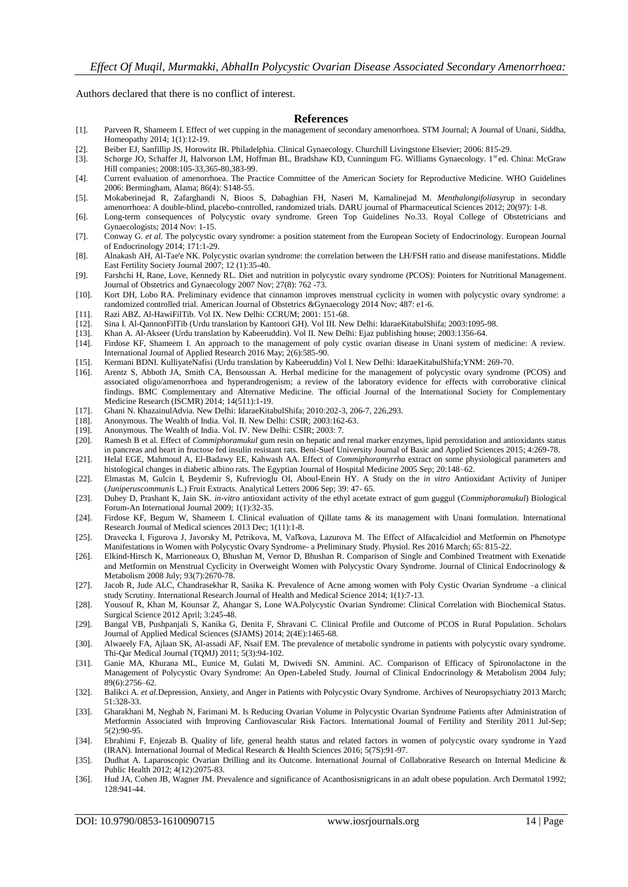Authors declared that there is no conflict of interest.

#### **References**

- [1]. Parveen R, Shameem I. Effect of wet cupping in the management of secondary amenorrhoea. STM Journal; A Journal of Unani, Siddha, Homeopathy 2014; 1(1):12-19.
- [2]. Beiber EJ, Sanfillip JS, Horowitz IR. Philadelphia. Clinical Gynaecology. Churchill Livingstone Elsevier; 2006: 815-29.
- [3]. Schorge JO, Schaffer JI, Halvorson LM, Hoffman BL, Bradshaw KD, Cunningum FG. Williams Gynaecology. 1st ed. China: McGraw Hill companies; 2008:105-33,365-80,383-99.
- [4]. Current evaluation of amenorrhoea. The Practice Committee of the American Society for Reproductive Medicine. WHO Guidelines 2006: Bermingham, Alama; 86(4): S148-55.
- [5]. Mokaberinejad R, Zafarghandi N, Bioos S, Dabaghian FH, Naseri M, Kamalinejad M. *Menthalongifolia*syrup in secondary amenorrhoea: A double-blind, placebo-controlled, randomized trials. DARU journal of Pharmaceutical Sciences 2012; 20(97): 1-8.
- [6]. Long-term consequences of Polycystic ovary syndrome. Green Top Guidelines No.33. Royal College of Obstetricians and Gynaecologists; 2014 Nov: 1-15.
- [7]. Conway G. *et al*. The polycystic ovary syndrome: a position statement from the European Society of Endocrinology. European Journal of Endocrinology 2014; 171:1-29.
- [8]. Alnakash AH, Al-Tae'e NK. Polycystic ovarian syndrome: the correlation between the LH/FSH ratio and disease manifestations. Middle East Fertility Society Journal 2007; 12 (1):35-40.
- [9]. Farshchi H, Rane, Love, Kennedy RL. Diet and nutrition in polycystic ovary syndrome (PCOS): Pointers for Nutritional Management. Journal of Obstetrics and Gynaecology 2007 Nov; 27(8): 762 -73.
- [10]. Kort DH, Lobo RA. Preliminary evidence that cinnamon improves menstrual cyclicity in women with polycystic ovary syndrome: a randomized controlled trial. American Journal of Obstetrics &Gynaecology 2014 Nov; 487: e1-6.
- [11]. Razi ABZ. Al-HawiFilTib. Vol IX. New Delhi: CCRUM; 2001: 151-68.
- [12]. Sina I. Al-QannonFilTib (Urdu translation by Kantoori GH). Vol III. New Delhi: IdaraeKitabulShifa; 2003:1095-98.
- [13]. Khan A. Al-Akseer (Urdu translation by Kabeeruddin). Vol II. New Delhi: Ejaz publishing house; 2003:1356-64.
- Firdose KF, Shameem I. An approach to the management of poly cystic ovarian disease in Unani system of medicine: A review. International Journal of Applied Research 2016 May; 2(6):585-90.
- [15]. Kermani BDNI. KulliyateNafisi (Urdu translation by Kabeeruddin) Vol I. New Delhi: IdaraeKitabulShifa;YNM: 269-70.
- [16]. Arentz S, Abboth JA, Smith CA, Bensoussan A. Herbal medicine for the management of polycystic ovary syndrome (PCOS) and associated oligo/amenorrhoea and hyperandrogenism; a review of the laboratory evidence for effects with corroborative clinical findings. BMC Complementary and Alternative Medicine. The official Journal of the International Society for Complementary Medicine Research (ISCMR) 2014; 14(511):1-19.
- [17]. Ghani N. KhazainulAdvia. New Delhi: IdaraeKitabulShifa; 2010:202-3, 206-7, 226,293.
- Anonymous. The Wealth of India. Vol. II. New Delhi: CSIR; 2003:162-63.
- [19]. Anonymous. The Wealth of India. Vol. IV. New Delhi: CSIR; 2003: 7.
- [20]. Ramesh B et al. Effect of *Commiphoramukul* gum resin on hepatic and renal marker enzymes, lipid peroxidation and antioxidants status in pancreas and heart in fructose fed insulin resistant rats. Beni-Suef University Journal of Basic and Applied Sciences 2015; 4:269-78.
- [21]. Helal EGE, Mahmoud A, El-Badawy EE, Kahwash AA. Effect of *Commiphoramyrrha* extract on some physiological parameters and histological changes in diabetic albino rats. The Egyptian Journal of Hospital Medicine 2005 Sep; 20:148–62.
- [22]. Elmastas M, Gulcin I, Beydemir S, Kufrevioglu OI, Aboul-Enein HY. A Study on the *in vitro* Antioxidant Activity of Juniper (*Juniperuscommunis* L.) Fruit Extracts. Analytical Letters 2006 Sep; 39: 47- 65.
- [23]. Dubey D, Prashant K, Jain SK. *in-vitro* antioxidant activity of the ethyl acetate extract of gum guggul (*Commiphoramukul*) Biological Forum-An International Journal 2009; 1(1):32-35.
- [24]. Firdose KF, Begum W, Shameem I. Clinical evaluation of Qillate tams & its management with Unani formulation. International Research Journal of Medical sciences 2013 Dec; 1(11):1-8.
- [25]. Dravecka I, Figurova J, Javorsky M, Petrikova, M, Vaľkova, Lazurova M. The Effect of Alfacalcidiol and Metformin on Phenotype Manifestations in Women with Polycystic Ovary Syndrome- a Preliminary Study. Physiol. Res 2016 March; 65: 815-22.
- [26]. Elkind-Hirsch K, Marrioneaux O, Bhushan M, Vernor D, Bhushan R. Comparison of Single and Combined Treatment with Exenatide and Metformin on Menstrual Cyclicity in Overweight Women with Polycystic Ovary Syndrome. Journal of Clinical Endocrinology & Metabolism 2008 July; 93(7):2670-78.
- [27]. Jacob R, Jude ALC, Chandrasekhar R, Sasika K. Prevalence of Acne among women with Poly Cystic Ovarian Syndrome –a clinical study Scrutiny. International Research Journal of Health and Medical Science 2014; 1(1):7-13.
- [28]. Yousouf R, Khan M, Kounsar Z, Ahangar S, Lone WA.Polycystic Ovarian Syndrome: Clinical Correlation with Biochemical Status. Surgical Science 2012 April; 3:245-48.
- [29]. Bangal VB, Pushpanjali S, Kanika G, Denita F, Shravani C. Clinical Profile and Outcome of PCOS in Rural Population. Scholars Journal of Applied Medical Sciences (SJAMS) 2014; 2(4E):1465-68.
- [30]. Alwaeely FA, Ajlaan SK, Al-assadi AF, Nsaif EM. The prevalence of metabolic syndrome in patients with polycystic ovary syndrome. Thi-Qar Medical Journal (TQMJ) 2011; 5(3):94-102.
- [31]. Ganie MA, Khurana ML, Eunice M, Gulati M, Dwivedi SN. Ammini. AC. Comparison of Efficacy of Spironolactone in the Management of Polycystic Ovary Syndrome: An Open-Labeled Study. Journal of Clinical Endocrinology & Metabolism 2004 July; 89(6):2756–62.
- [32]. Balikci A. *et al.*Depression, Anxiety, and Anger in Patients with Polycystic Ovary Syndrome. Archives of Neuropsychiatry 2013 March; 51:328-33.
- [33]. Gharakhani M, Neghab N, Farimani M. Is Reducing Ovarian Volume in Polycystic Ovarian Syndrome Patients after Administration of Metformin Associated with Improving Cardiovascular Risk Factors. International Journal of Fertility and Sterility 2011 Jul-Sep; 5(2):90-95.
- [34]. Ebrahimi F, Enjezab B. Quality of life, general health status and related factors in women of polycystic ovary syndrome in Yazd (IRAN). International Journal of Medical Research & Health Sciences 2016; 5(7S):91-97.
- [35]. Dudhat A. Laparoscopic Ovarian Drilling and its Outcome. International Journal of Collaborative Research on Internal Medicine & Public Health 2012; 4(12):2075-83.
- [36]. Hud JA, Cohen JB, Wagner JM. Prevalence and significance of Acanthosisnigricans in an adult obese population. Arch Dermatol 1992; 128:941-44.